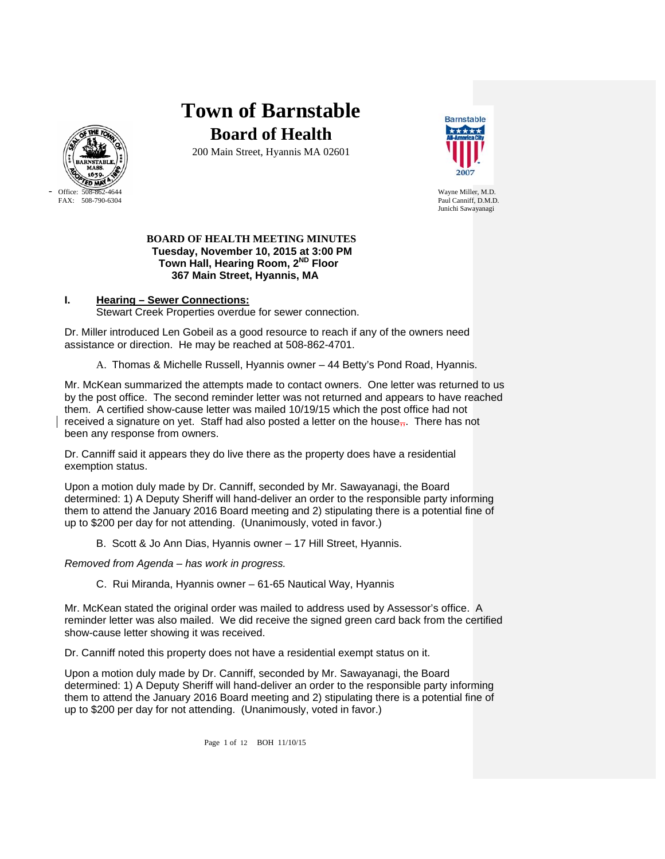

# **Town of Barnstable Board of Health**

200 Main Street, Hyannis MA 02601



Paul Canniff, D.M.D. Junichi Sawayanagi

# **BOARD OF HEALTH MEETING MINUTES Tuesday, November 10, 2015 at 3:00 PM Town Hall, Hearing Room, 2ND Floor 367 Main Street, Hyannis, MA**

# **I. Hearing – Sewer Connections:** Stewart Creek Properties overdue for sewer connection.

Dr. Miller introduced Len Gobeil as a good resource to reach if any of the owners need assistance or direction. He may be reached at 508-862-4701.

A. Thomas & Michelle Russell, Hyannis owner – 44 Betty's Pond Road, Hyannis.

Mr. McKean summarized the attempts made to contact owners. One letter was returned to us by the post office. The second reminder letter was not returned and appears to have reached them. A certified show-cause letter was mailed 10/19/15 which the post office had not received a signature on yet. Staff had also posted a letter on the house $\overline{n}$ . There has not been any response from owners.

Dr. Canniff said it appears they do live there as the property does have a residential exemption status.

Upon a motion duly made by Dr. Canniff, seconded by Mr. Sawayanagi, the Board determined: 1) A Deputy Sheriff will hand-deliver an order to the responsible party informing them to attend the January 2016 Board meeting and 2) stipulating there is a potential fine of up to \$200 per day for not attending. (Unanimously, voted in favor.)

B. Scott & Jo Ann Dias, Hyannis owner – 17 Hill Street, Hyannis.

*Removed from Agenda – has work in progress.*

C. Rui Miranda, Hyannis owner – 61-65 Nautical Way, Hyannis

Mr. McKean stated the original order was mailed to address used by Assessor's office. A reminder letter was also mailed. We did receive the signed green card back from the certified show-cause letter showing it was received.

Dr. Canniff noted this property does not have a residential exempt status on it.

Upon a motion duly made by Dr. Canniff, seconded by Mr. Sawayanagi, the Board determined: 1) A Deputy Sheriff will hand-deliver an order to the responsible party informing them to attend the January 2016 Board meeting and 2) stipulating there is a potential fine of up to \$200 per day for not attending. (Unanimously, voted in favor.)

Page 1 of 12 BOH 11/10/15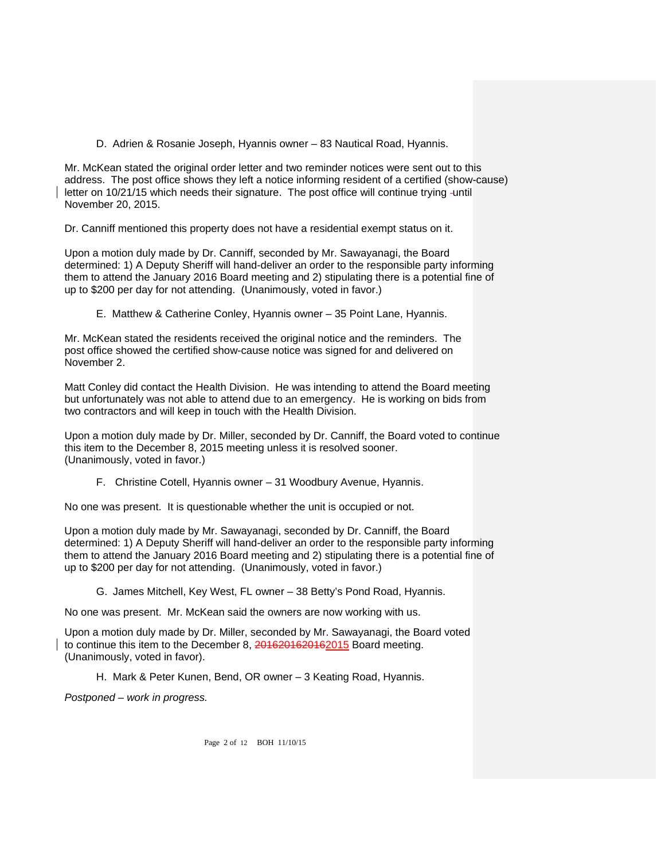D. Adrien & Rosanie Joseph, Hyannis owner – 83 Nautical Road, Hyannis.

Mr. McKean stated the original order letter and two reminder notices were sent out to this address. The post office shows they left a notice informing resident of a certified (show-cause) letter on 10/21/15 which needs their signature. The post office will continue trying -until November 20, 2015.

Dr. Canniff mentioned this property does not have a residential exempt status on it.

Upon a motion duly made by Dr. Canniff, seconded by Mr. Sawayanagi, the Board determined: 1) A Deputy Sheriff will hand-deliver an order to the responsible party informing them to attend the January 2016 Board meeting and 2) stipulating there is a potential fine of up to \$200 per day for not attending. (Unanimously, voted in favor.)

E. Matthew & Catherine Conley, Hyannis owner – 35 Point Lane, Hyannis.

Mr. McKean stated the residents received the original notice and the reminders. The post office showed the certified show-cause notice was signed for and delivered on November 2.

Matt Conley did contact the Health Division. He was intending to attend the Board meeting but unfortunately was not able to attend due to an emergency. He is working on bids from two contractors and will keep in touch with the Health Division.

Upon a motion duly made by Dr. Miller, seconded by Dr. Canniff, the Board voted to continue this item to the December 8, 2015 meeting unless it is resolved sooner. (Unanimously, voted in favor.)

F. Christine Cotell, Hyannis owner – 31 Woodbury Avenue, Hyannis.

No one was present. It is questionable whether the unit is occupied or not.

Upon a motion duly made by Mr. Sawayanagi, seconded by Dr. Canniff, the Board determined: 1) A Deputy Sheriff will hand-deliver an order to the responsible party informing them to attend the January 2016 Board meeting and 2) stipulating there is a potential fine of up to \$200 per day for not attending. (Unanimously, voted in favor.)

G. James Mitchell, Key West, FL owner – 38 Betty's Pond Road, Hyannis.

No one was present. Mr. McKean said the owners are now working with us.

Upon a motion duly made by Dr. Miller, seconded by Mr. Sawayanagi, the Board voted to continue this item to the December 8, 2016201620162015 Board meeting. (Unanimously, voted in favor).

H. Mark & Peter Kunen, Bend, OR owner – 3 Keating Road, Hyannis.

*Postponed – work in progress.*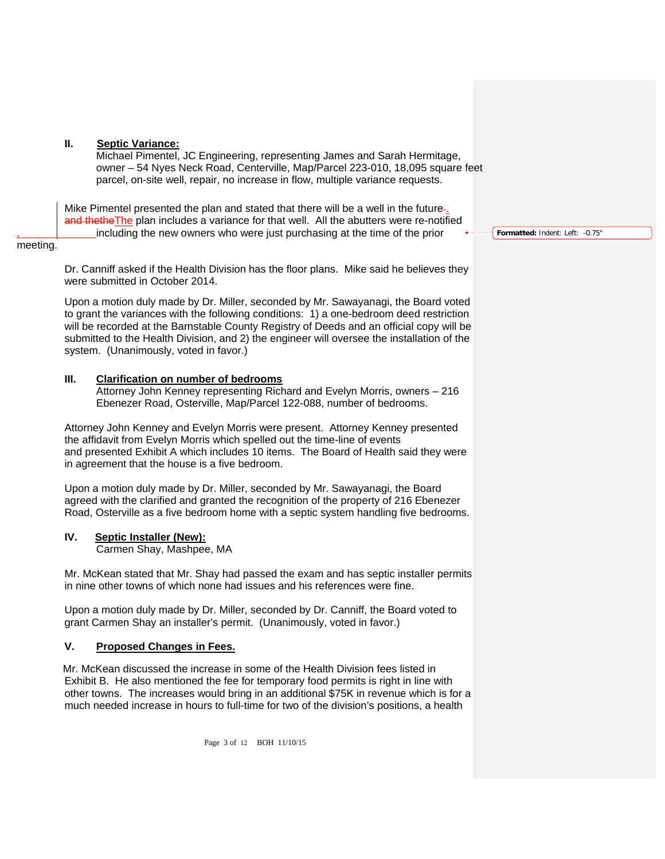# **II. Septic Variance:**

Michael Pimentel, JC Engineering, representing James and Sarah Hermitage, owner – 54 Nyes Neck Road, Centerville, Map/Parcel 223-010, 18,095 square feet parcel, on-site well, repair, no increase in flow, multiple variance requests.

Mike Pimentel presented the plan and stated that there will be a well in the future-. and thetheThe plan includes a variance for that well. All the abutters were re-notified , including the new owners who were just purchasing at the time of the prior

meeting.

Dr. Canniff asked if the Health Division has the floor plans. Mike said he believes they were submitted in October 2014.

Upon a motion duly made by Dr. Miller, seconded by Mr. Sawayanagi, the Board voted to grant the variances with the following conditions: 1) a one-bedroom deed restriction will be recorded at the Barnstable County Registry of Deeds and an official copy will be submitted to the Health Division, and 2) the engineer will oversee the installation of the system. (Unanimously, voted in favor.)

# **III. Clarification on number of bedrooms**

Attorney John Kenney representing Richard and Evelyn Morris, owners – 216 Ebenezer Road, Osterville, Map/Parcel 122-088, number of bedrooms.

Attorney John Kenney and Evelyn Morris were present. Attorney Kenney presented the affidavit from Evelyn Morris which spelled out the time-line of events and presented Exhibit A which includes 10 items. The Board of Health said they were in agreement that the house is a five bedroom.

Upon a motion duly made by Dr. Miller, seconded by Mr. Sawayanagi, the Board agreed with the clarified and granted the recognition of the property of 216 Ebenezer Road, Osterville as a five bedroom home with a septic system handling five bedrooms.

# **IV. Septic Installer (New):**

Carmen Shay, Mashpee, MA

Mr. McKean stated that Mr. Shay had passed the exam and has septic installer permits in nine other towns of which none had issues and his references were fine.

Upon a motion duly made by Dr. Miller, seconded by Dr. Canniff, the Board voted to grant Carmen Shay an installer's permit. (Unanimously, voted in favor.)

# **V. Proposed Changes in Fees.**

 Mr. McKean discussed the increase in some of the Health Division fees listed in Exhibit B. He also mentioned the fee for temporary food permits is right in line with other towns. The increases would bring in an additional \$75K in revenue which is for a much needed increase in hours to full-time for two of the division's positions, a health

**Formatted:** Indent: Left: -0.75"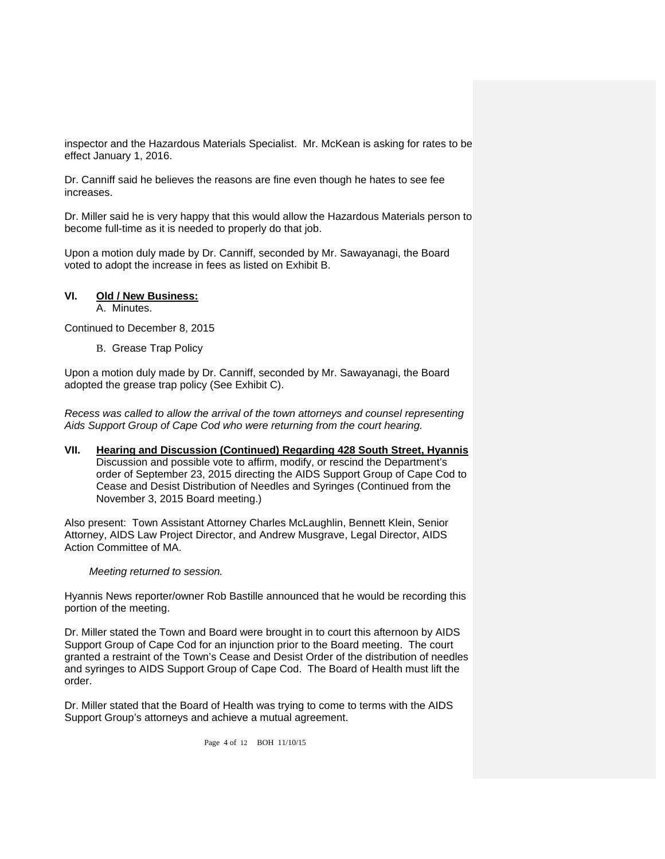inspector and the Hazardous Materials Specialist. Mr. McKean is asking for rates to be effect January 1, 2016.

Dr. Canniff said he believes the reasons are fine even though he hates to see fee increases.

Dr. Miller said he is very happy that this would allow the Hazardous Materials person to become full-time as it is needed to properly do that job.

Upon a motion duly made by Dr. Canniff, seconded by Mr. Sawayanagi, the Board voted to adopt the increase in fees as listed on Exhibit B.

# **VI. Old / New Business:**

A. Minutes.

Continued to December 8, 2015

B. Grease Trap Policy

 Upon a motion duly made by Dr. Canniff, seconded by Mr. Sawayanagi, the Board adopted the grease trap policy (See Exhibit C).

*Recess was called to allow the arrival of the town attorneys and counsel representing Aids Support Group of Cape Cod who were returning from the court hearing.* 

**VII. Hearing and Discussion (Continued) Regarding 428 South Street, Hyannis** Discussion and possible vote to affirm, modify, or rescind the Department's order of September 23, 2015 directing the AIDS Support Group of Cape Cod to Cease and Desist Distribution of Needles and Syringes (Continued from the November 3, 2015 Board meeting.)

Also present: Town Assistant Attorney Charles McLaughlin, Bennett Klein, Senior Attorney, AIDS Law Project Director, and Andrew Musgrave, Legal Director, AIDS Action Committee of MA.

# *Meeting returned to session.*

Hyannis News reporter/owner Rob Bastille announced that he would be recording this portion of the meeting.

Dr. Miller stated the Town and Board were brought in to court this afternoon by AIDS Support Group of Cape Cod for an injunction prior to the Board meeting. The court granted a restraint of the Town's Cease and Desist Order of the distribution of needles and syringes to AIDS Support Group of Cape Cod. The Board of Health must lift the order.

Dr. Miller stated that the Board of Health was trying to come to terms with the AIDS Support Group's attorneys and achieve a mutual agreement.

Page 4 of 12 BOH 11/10/15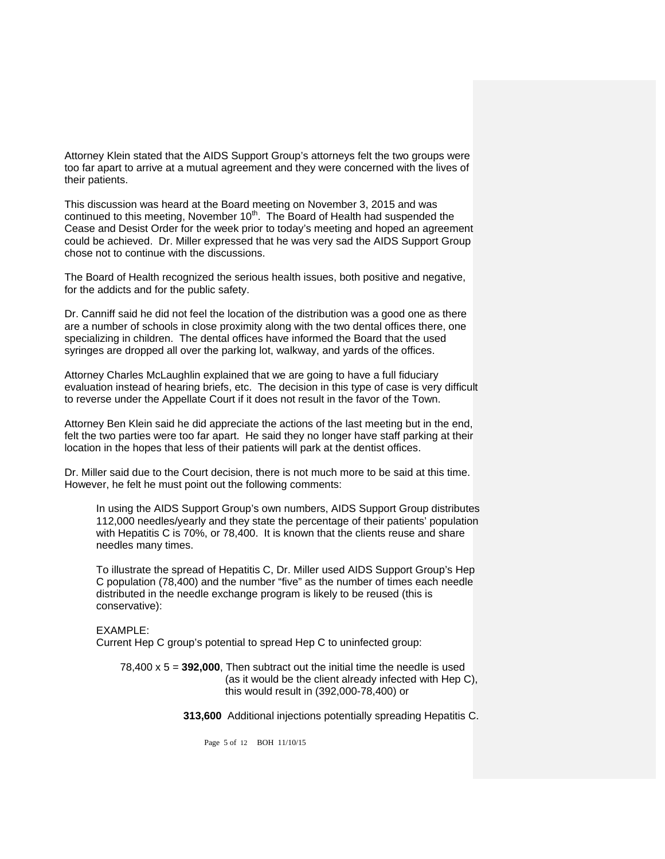Attorney Klein stated that the AIDS Support Group's attorneys felt the two groups were too far apart to arrive at a mutual agreement and they were concerned with the lives of their patients.

This discussion was heard at the Board meeting on November 3, 2015 and was continued to this meeting, November  $10<sup>th</sup>$ . The Board of Health had suspended the Cease and Desist Order for the week prior to today's meeting and hoped an agreement could be achieved. Dr. Miller expressed that he was very sad the AIDS Support Group chose not to continue with the discussions.

The Board of Health recognized the serious health issues, both positive and negative, for the addicts and for the public safety.

Dr. Canniff said he did not feel the location of the distribution was a good one as there are a number of schools in close proximity along with the two dental offices there, one specializing in children. The dental offices have informed the Board that the used syringes are dropped all over the parking lot, walkway, and yards of the offices.

Attorney Charles McLaughlin explained that we are going to have a full fiduciary evaluation instead of hearing briefs, etc. The decision in this type of case is very difficult to reverse under the Appellate Court if it does not result in the favor of the Town.

Attorney Ben Klein said he did appreciate the actions of the last meeting but in the end, felt the two parties were too far apart. He said they no longer have staff parking at their location in the hopes that less of their patients will park at the dentist offices.

Dr. Miller said due to the Court decision, there is not much more to be said at this time. However, he felt he must point out the following comments:

In using the AIDS Support Group's own numbers, AIDS Support Group distributes 112,000 needles/yearly and they state the percentage of their patients' population with Hepatitis C is 70%, or 78,400. It is known that the clients reuse and share needles many times.

To illustrate the spread of Hepatitis C, Dr. Miller used AIDS Support Group's Hep C population (78,400) and the number "five" as the number of times each needle distributed in the needle exchange program is likely to be reused (this is conservative):

EXAMPLE: Current Hep C group's potential to spread Hep C to uninfected group:

78,400 x 5 = **392,000**, Then subtract out the initial time the needle is used (as it would be the client already infected with Hep C), this would result in (392,000-78,400) or

 **313,600** Additional injections potentially spreading Hepatitis C.

Page 5 of 12 BOH 11/10/15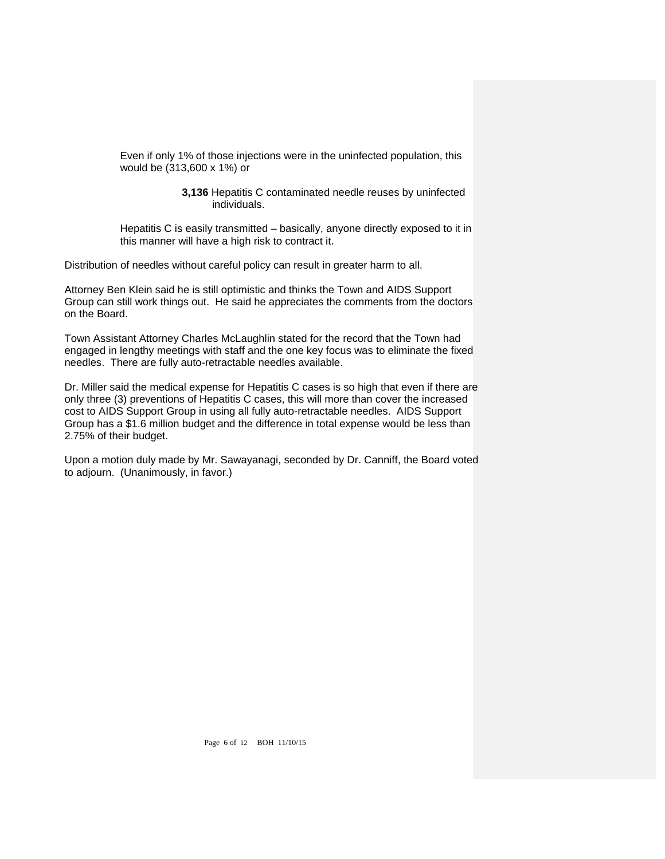Even if only 1% of those injections were in the uninfected population, this would be (313,600 x 1%) or

> **3,136** Hepatitis C contaminated needle reuses by uninfected individuals.

Hepatitis C is easily transmitted – basically, anyone directly exposed to it in this manner will have a high risk to contract it.

Distribution of needles without careful policy can result in greater harm to all.

Attorney Ben Klein said he is still optimistic and thinks the Town and AIDS Support Group can still work things out. He said he appreciates the comments from the doctors on the Board.

Town Assistant Attorney Charles McLaughlin stated for the record that the Town had engaged in lengthy meetings with staff and the one key focus was to eliminate the fixed needles. There are fully auto-retractable needles available.

Dr. Miller said the medical expense for Hepatitis C cases is so high that even if there are only three (3) preventions of Hepatitis C cases, this will more than cover the increased cost to AIDS Support Group in using all fully auto-retractable needles. AIDS Support Group has a \$1.6 million budget and the difference in total expense would be less than 2.75% of their budget.

Upon a motion duly made by Mr. Sawayanagi, seconded by Dr. Canniff, the Board voted to adjourn. (Unanimously, in favor.)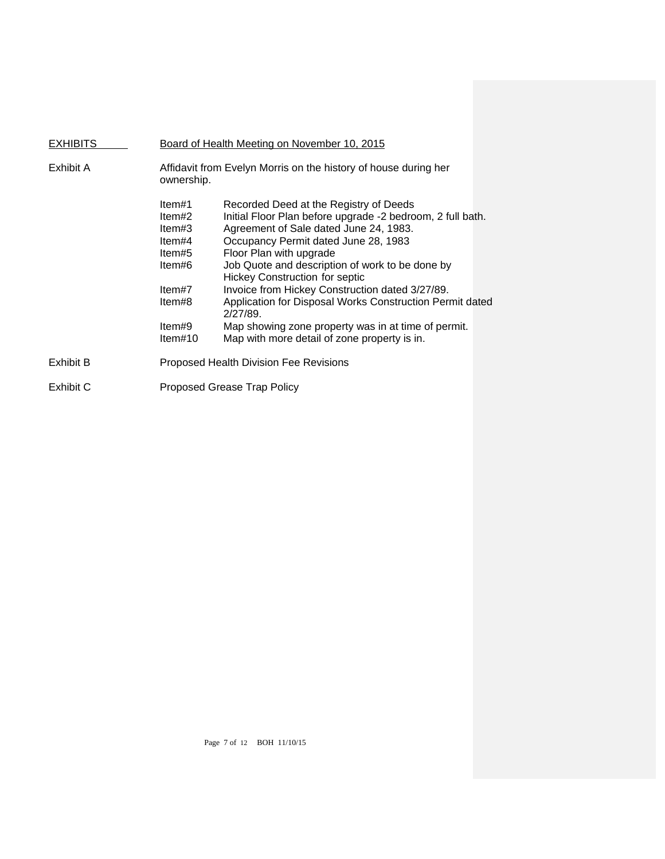| <b>EXHIBITS</b> | Board of Health Meeting on November 10, 2015                                                      |                                                                                                                                                                                                                                                                                                                                                                                                                                                                                                                                                 |  |
|-----------------|---------------------------------------------------------------------------------------------------|-------------------------------------------------------------------------------------------------------------------------------------------------------------------------------------------------------------------------------------------------------------------------------------------------------------------------------------------------------------------------------------------------------------------------------------------------------------------------------------------------------------------------------------------------|--|
| Exhibit A       | Affidavit from Evelyn Morris on the history of house during her<br>ownership.                     |                                                                                                                                                                                                                                                                                                                                                                                                                                                                                                                                                 |  |
|                 | ltem#1<br>ltem#2<br>ltem#3<br>ltem#4<br>ltem#5<br>ltem#6<br>ltem#7<br>ltem#8<br>ltem#9<br>Item#10 | Recorded Deed at the Registry of Deeds<br>Initial Floor Plan before upgrade -2 bedroom, 2 full bath.<br>Agreement of Sale dated June 24, 1983.<br>Occupancy Permit dated June 28, 1983<br>Floor Plan with upgrade<br>Job Quote and description of work to be done by<br><b>Hickey Construction for septic</b><br>Invoice from Hickey Construction dated 3/27/89.<br>Application for Disposal Works Construction Permit dated<br>2/27/89.<br>Map showing zone property was in at time of permit.<br>Map with more detail of zone property is in. |  |
| Exhibit B       |                                                                                                   | Proposed Health Division Fee Revisions                                                                                                                                                                                                                                                                                                                                                                                                                                                                                                          |  |
| Exhibit C       |                                                                                                   | Proposed Grease Trap Policy                                                                                                                                                                                                                                                                                                                                                                                                                                                                                                                     |  |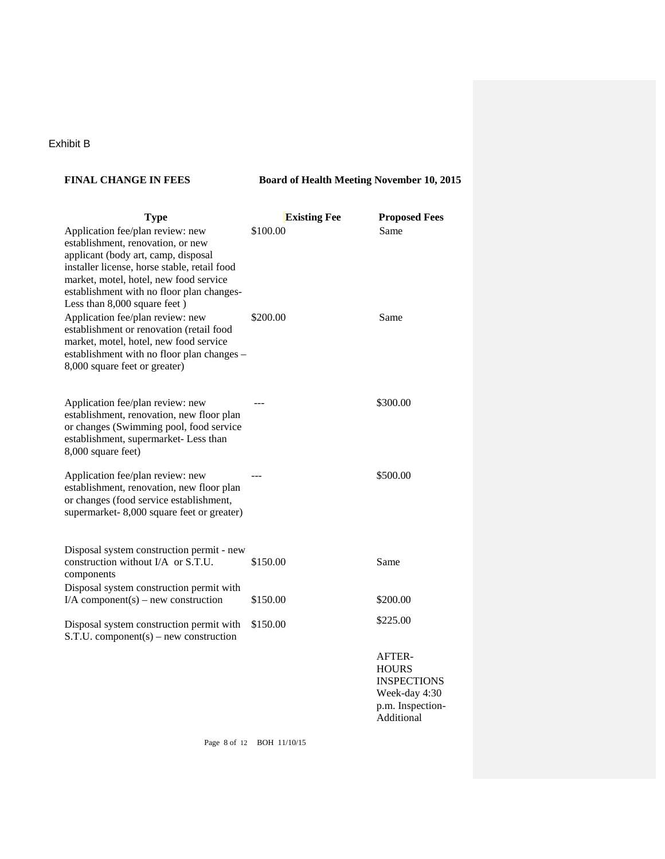# Exhibit B

# FINAL CHANGE IN FEES Board of Health Meeting November 10, 2015

| <b>Type</b>                                                                                                                                                                                                                                                                          | <b>Existing Fee</b> | <b>Proposed Fees</b>                                                                            |
|--------------------------------------------------------------------------------------------------------------------------------------------------------------------------------------------------------------------------------------------------------------------------------------|---------------------|-------------------------------------------------------------------------------------------------|
| Application fee/plan review: new<br>establishment, renovation, or new<br>applicant (body art, camp, disposal<br>installer license, horse stable, retail food<br>market, motel, hotel, new food service<br>establishment with no floor plan changes-<br>Less than 8,000 square feet ) | \$100.00            | Same                                                                                            |
| Application fee/plan review: new<br>establishment or renovation (retail food<br>market, motel, hotel, new food service<br>establishment with no floor plan changes -<br>8,000 square feet or greater)                                                                                | \$200.00            | Same                                                                                            |
| Application fee/plan review: new<br>establishment, renovation, new floor plan<br>or changes (Swimming pool, food service<br>establishment, supermarket-Less than<br>8,000 square feet)                                                                                               |                     | \$300.00                                                                                        |
| Application fee/plan review: new<br>establishment, renovation, new floor plan<br>or changes (food service establishment,<br>supermarket-8,000 square feet or greater)                                                                                                                |                     | \$500.00                                                                                        |
| Disposal system construction permit - new<br>construction without I/A or S.T.U.<br>components                                                                                                                                                                                        | \$150.00            | Same                                                                                            |
| Disposal system construction permit with<br>I/A component(s) – new construction                                                                                                                                                                                                      | \$150.00            | \$200.00                                                                                        |
| Disposal system construction permit with<br>$S.T.U. component(s) - new construction$                                                                                                                                                                                                 | \$150.00            | \$225.00                                                                                        |
|                                                                                                                                                                                                                                                                                      |                     | AFTER-<br><b>HOURS</b><br><b>INSPECTIONS</b><br>Week-day 4:30<br>p.m. Inspection-<br>Additional |

Page 8 of 12 BOH 11/10/15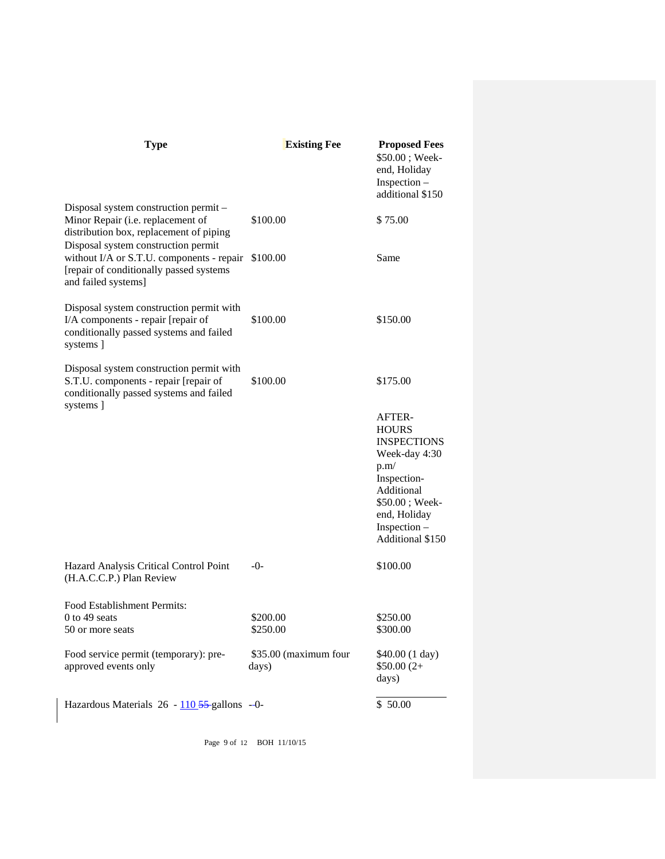| <b>Type</b>                                                                                                                                        | <b>Existing Fee</b>            | <b>Proposed Fees</b><br>\$50.00; Week-<br>end, Holiday<br>Inspection -                                                                                                          |
|----------------------------------------------------------------------------------------------------------------------------------------------------|--------------------------------|---------------------------------------------------------------------------------------------------------------------------------------------------------------------------------|
|                                                                                                                                                    |                                | additional \$150                                                                                                                                                                |
| Disposal system construction permit -<br>Minor Repair (i.e. replacement of<br>distribution box, replacement of piping                              | \$100.00                       | \$75.00                                                                                                                                                                         |
| Disposal system construction permit<br>without I/A or S.T.U. components - repair<br>[repair of conditionally passed systems<br>and failed systems] | \$100.00                       | Same                                                                                                                                                                            |
| Disposal system construction permit with<br>I/A components - repair [repair of<br>conditionally passed systems and failed<br>systems ]             | \$100.00                       | \$150.00                                                                                                                                                                        |
| Disposal system construction permit with<br>S.T.U. components - repair [repair of<br>conditionally passed systems and failed<br>systems ]          | \$100.00                       | \$175.00                                                                                                                                                                        |
|                                                                                                                                                    |                                | <b>AFTER-</b><br><b>HOURS</b><br><b>INSPECTIONS</b><br>Week-day 4:30<br>p.m/<br>Inspection-<br>Additional<br>\$50.00; Week-<br>end, Holiday<br>Inspection -<br>Additional \$150 |
| Hazard Analysis Critical Control Point<br>(H.A.C.C.P.) Plan Review                                                                                 | -0-                            | \$100.00                                                                                                                                                                        |
| Food Establishment Permits:<br>$0$ to 49 seats<br>50 or more seats                                                                                 | \$200.00<br>\$250.00           | \$250.00<br>\$300.00                                                                                                                                                            |
| Food service permit (temporary): pre-<br>approved events only                                                                                      | \$35.00 (maximum four<br>days) | \$40.00 (1 day)<br>$$50.00(2+$<br>days)                                                                                                                                         |
| Hazardous Materials 26 - 110 55-gallons -- 0-                                                                                                      |                                | \$50.00                                                                                                                                                                         |

Page 9 of 12 BOH 11/10/15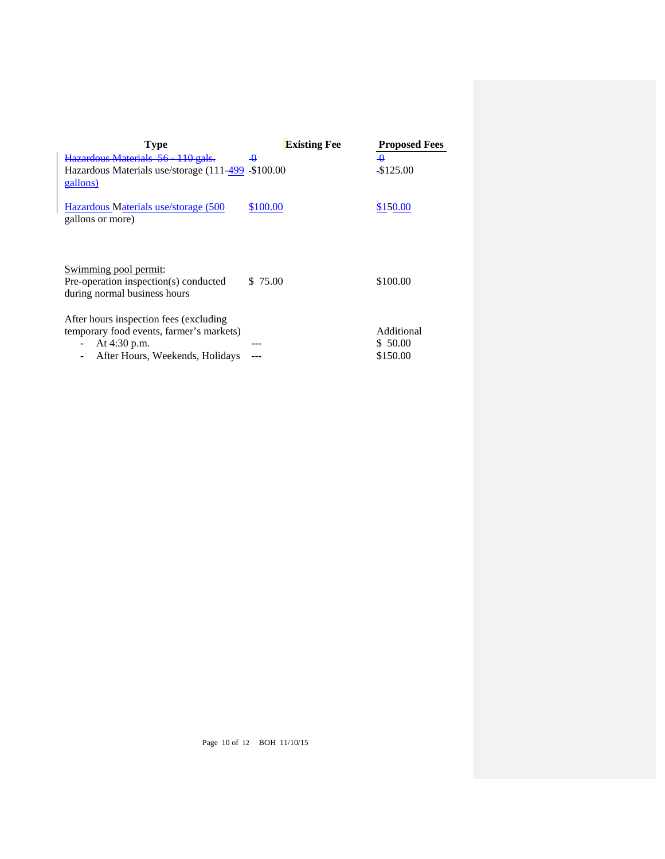| <b>Type</b>                                                                                                                            | <b>Existing Fee</b> | <b>Proposed Fees</b>               |
|----------------------------------------------------------------------------------------------------------------------------------------|---------------------|------------------------------------|
| Hazardous Materials 56 110 gals.                                                                                                       | $\overline{a}$      | $\overline{a}$                     |
| Hazardous Materials use/storage (111-499 -\$100.00<br>gallons)                                                                         |                     | $-$125.00$                         |
| Hazardous Materials use/storage (500)<br>gallons or more)                                                                              | \$100.00            | \$150.00                           |
| Swimming pool permit:<br>Pre-operation inspection(s) conducted<br>during normal business hours                                         | \$75.00             | \$100.00                           |
| After hours inspection fees (excluding)<br>temporary food events, farmer's markets)<br>At 4:30 p.m.<br>After Hours, Weekends, Holidays |                     | Additional<br>\$ 50.00<br>\$150.00 |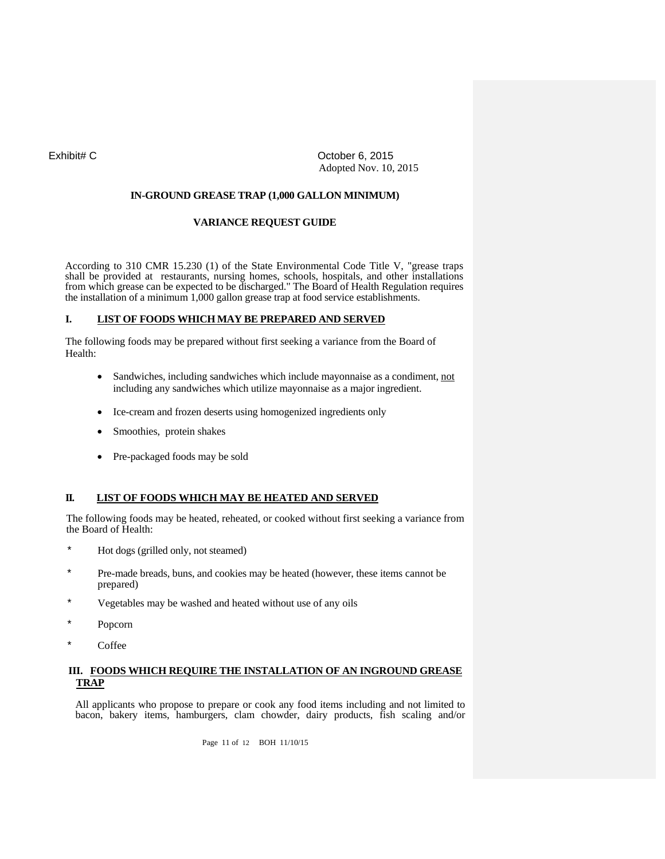# Exhibit# C Quantity Controller C Controller C Controller C Controller C CONTROLLER Adopted Nov. 10, 2015

## **IN-GROUND GREASE TRAP (1,000 GALLON MINIMUM)**

# **VARIANCE REQUEST GUIDE**

According to 310 CMR 15.230 (1) of the State Environmental Code Title V, "grease traps shall be provided at restaurants, nursing homes, schools, hospitals, and other installations from which grease can be expected to be discharged." The Board of Health Regulation requires the installation of a minimum 1,000 gallon grease trap at food service establishments.

# **I. LIST OF FOODS WHICHMAY BE PREPARED AND SERVED**

The following foods may be prepared without first seeking a variance from the Board of Health:

- Sandwiches, including sandwiches which include mayonnaise as a condiment, not including any sandwiches which utilize mayonnaise as a major ingredient.
- Ice-cream and frozen deserts using homogenized ingredients only
- Smoothies, protein shakes
- Pre-packaged foods may be sold

# **II. LIST OF FOODS WHICH MAY BE HEATED AND SERVED**

The following foods may be heated, reheated, or cooked without first seeking a variance from the Board of Health:

- Hot dogs (grilled only, not steamed)
- Pre-made breads, buns, and cookies may be heated (however, these items cannot be prepared)
- Vegetables may be washed and heated without use of any oils
- Popcorn
- Coffee

# **III. FOODS WHICH REQUIRE THE INSTALLATION OF AN INGROUND GREASE TRAP**

All applicants who propose to prepare or cook any food items including and not limited to bacon, bakery items, hamburgers, clam chowder, dairy products, fish scaling and/or

Page 11 of 12 BOH 11/10/15